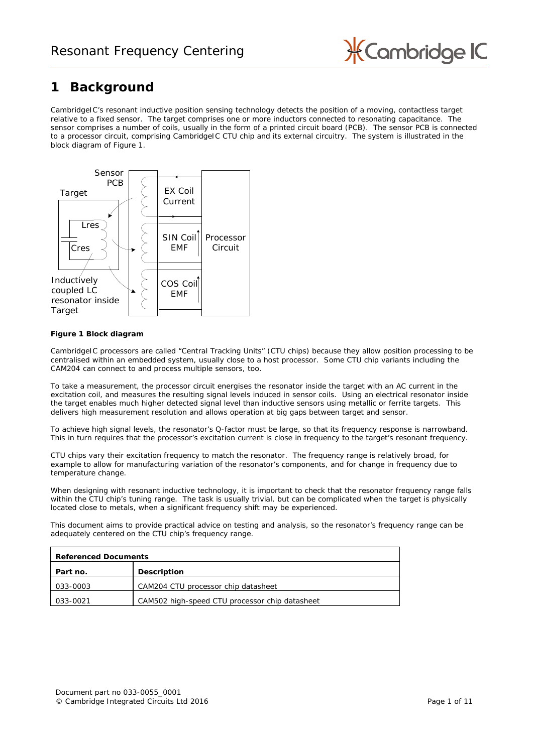

# <span id="page-0-1"></span>**1 Background**

CambridgeIC's resonant inductive position sensing technology detects the position of a moving, contactless target relative to a fixed sensor. The target comprises one or more inductors connected to resonating capacitance. The sensor comprises a number of coils, usually in the form of a printed circuit board (PCB). The sensor PCB is connected to a processor circuit, comprising CambridgeIC CTU chip and its external circuitry. The system is illustrated in the block diagram of [Figure 1.](#page-0-0)



### <span id="page-0-0"></span>**Figure 1 Block diagram**

CambridgeIC processors are called "Central Tracking Units" (CTU chips) because they allow position processing to be centralised within an embedded system, usually close to a host processor. Some CTU chip variants including the CAM204 can connect to and process multiple sensors, too.

To take a measurement, the processor circuit energises the resonator inside the target with an AC current in the excitation coil, and measures the resulting signal levels induced in sensor coils. Using an electrical resonator inside the target enables much higher detected signal level than inductive sensors using metallic or ferrite targets. This delivers high measurement resolution and allows operation at big gaps between target and sensor.

To achieve high signal levels, the resonator's Q-factor must be large, so that its frequency response is narrowband. This in turn requires that the processor's excitation current is close in frequency to the target's resonant frequency.

CTU chips vary their excitation frequency to match the resonator. The frequency range is relatively broad, for example to allow for manufacturing variation of the resonator's components, and for change in frequency due to temperature change.

When designing with resonant inductive technology, it is important to check that the resonator frequency range falls within the CTU chip's tuning range. The task is usually trivial, but can be complicated when the target is physically located close to metals, when a significant frequency shift may be experienced.

This document aims to provide practical advice on testing and analysis, so the resonator's frequency range can be adequately centered on the CTU chip's frequency range.

| <b>Referenced Documents</b> |                                                |  |  |
|-----------------------------|------------------------------------------------|--|--|
| Part no.                    | <b>Description</b>                             |  |  |
| 033-0003                    | CAM204 CTU processor chip datasheet            |  |  |
| 033-0021                    | CAM502 high-speed CTU processor chip datasheet |  |  |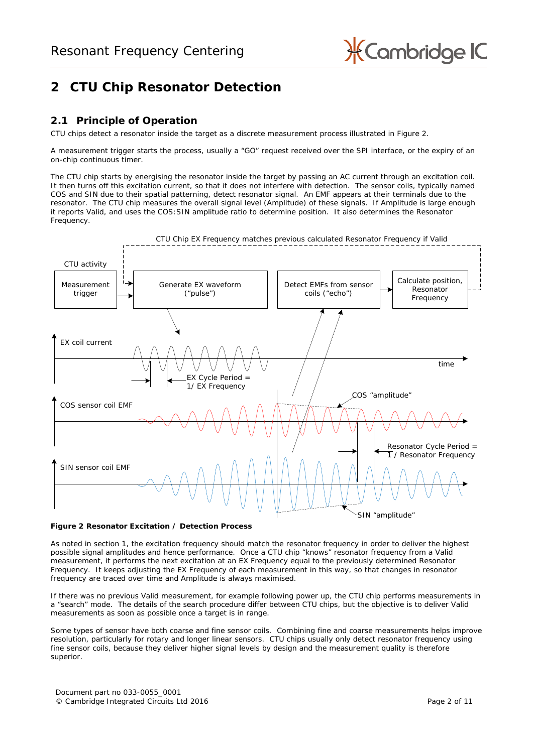

# **2 CTU Chip Resonator Detection**

## **2.1 Principle of Operation**

CTU chips detect a resonator inside the target as a discrete measurement process illustrated in [Figure 2.](#page-1-0)

A measurement trigger starts the process, usually a "GO" request received over the SPI interface, or the expiry of an on-chip continuous timer.

The CTU chip starts by energising the resonator inside the target by passing an AC current through an excitation coil. It then turns off this excitation current, so that it does not interfere with detection. The sensor coils, typically named COS and SIN due to their spatial patterning, detect resonator signal. An EMF appears at their terminals due to the resonator. The CTU chip measures the overall signal level (Amplitude) of these signals. If Amplitude is large enough it reports Valid, and uses the COS:SIN amplitude ratio to determine position. It also determines the Resonator Frequency.



### <span id="page-1-0"></span>**Figure 2 Resonator Excitation / Detection Process**

As noted in section [1,](#page-0-1) the excitation frequency should match the resonator frequency in order to deliver the highest possible signal amplitudes and hence performance. Once a CTU chip "knows" resonator frequency from a Valid measurement, it performs the next excitation at an EX Frequency equal to the previously determined Resonator Frequency. It keeps adjusting the EX Frequency of each measurement in this way, so that changes in resonator frequency are traced over time and Amplitude is always maximised.

If there was no previous Valid measurement, for example following power up, the CTU chip performs measurements in a "search" mode. The details of the search procedure differ between CTU chips, but the objective is to deliver Valid measurements as soon as possible once a target is in range.

Some types of sensor have both coarse and fine sensor coils. Combining fine and coarse measurements helps improve resolution, particularly for rotary and longer linear sensors. CTU chips usually only detect resonator frequency using fine sensor coils, because they deliver higher signal levels by design and the measurement quality is therefore superior.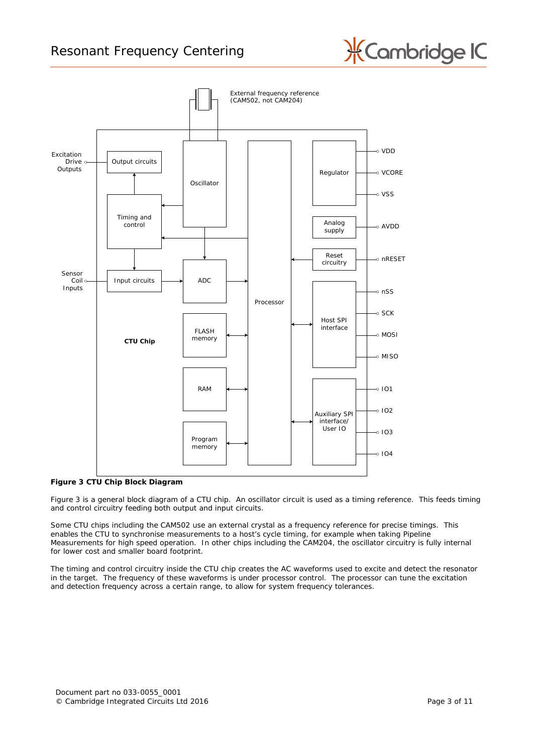



### <span id="page-2-0"></span>**Figure 3 CTU Chip Block Diagram**

[Figure 3](#page-2-0) is a general block diagram of a CTU chip. An oscillator circuit is used as a timing reference. This feeds timing and control circuitry feeding both output and input circuits.

Some CTU chips including the CAM502 use an external crystal as a frequency reference for precise timings. This enables the CTU to synchronise measurements to a host's cycle timing, for example when taking Pipeline Measurements for high speed operation. In other chips including the CAM204, the oscillator circuitry is fully internal for lower cost and smaller board footprint.

The timing and control circuitry inside the CTU chip creates the AC waveforms used to excite and detect the resonator in the target. The frequency of these waveforms is under processor control. The processor can tune the excitation and detection frequency across a certain range, to allow for system frequency tolerances.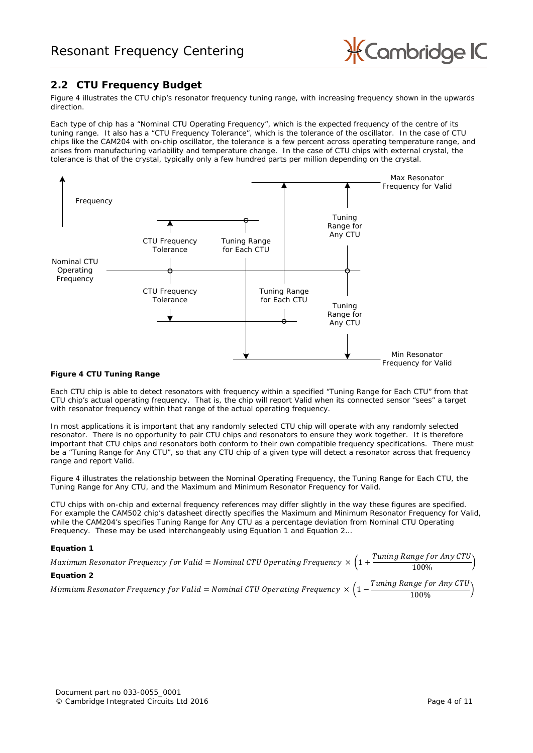

## <span id="page-3-3"></span>**2.2 CTU Frequency Budget**

[Figure 4](#page-3-0) illustrates the CTU chip's resonator frequency tuning range, with increasing frequency shown in the upwards direction.

Each type of chip has a "Nominal CTU Operating Frequency", which is the expected frequency of the centre of its tuning range. It also has a "CTU Frequency Tolerance", which is the tolerance of the oscillator. In the case of CTU chips like the CAM204 with on-chip oscillator, the tolerance is a few percent across operating temperature range, and arises from manufacturing variability and temperature change. In the case of CTU chips with external crystal, the tolerance is that of the crystal, typically only a few hundred parts per million depending on the crystal.



### <span id="page-3-0"></span>**Figure 4 CTU Tuning Range**

Each CTU chip is able to detect resonators with frequency within a specified "Tuning Range for Each CTU" from that CTU chip's *actual* operating frequency. That is, the chip will report Valid when its connected sensor "sees" a target with resonator frequency within that range of the *actual* operating frequency.

In most applications it is important that any randomly selected CTU chip will operate with any randomly selected resonator. There is no opportunity to pair CTU chips and resonators to ensure they work together. It is therefore important that CTU chips and resonators both conform to their own compatible frequency specifications. There must be a "Tuning Range for Any CTU", so that any CTU chip of a given type will detect a resonator across that frequency range and report Valid.

[Figure 4](#page-3-0) illustrates the relationship between the Nominal Operating Frequency, the Tuning Range for Each CTU, the Tuning Range for Any CTU, and the Maximum and Minimum Resonator Frequency for Valid.

CTU chips with on-chip and external frequency references may differ slightly in the way these figures are specified. For example the CAM502 chip's datasheet directly specifies the Maximum and Minimum Resonator Frequency for Valid, while the CAM204's specifies Tuning Range for Any CTU as a percentage deviation from Nominal CTU Operating Frequency. These may be used interchangeably using [Equation 1](#page-3-1) and [Equation 2…](#page-3-2)

### <span id="page-3-1"></span>**Equation 1**

<span id="page-3-2"></span>

| Maximum Resonator Frequency for Valid = Nominal CTU Operating Frequency $\times$ $(1 + \frac{1}{2})$ | Tuning Range for Any $CTU$<br>100%            |
|------------------------------------------------------------------------------------------------------|-----------------------------------------------|
| <b>Equation 2</b>                                                                                    |                                               |
| Minmium Resonator Frequency for Valid = Nominal CTU Operating Frequency $\times$ $(1 - \frac{1}{2})$ | Tuning Range for Any CTU $\backslash$<br>100% |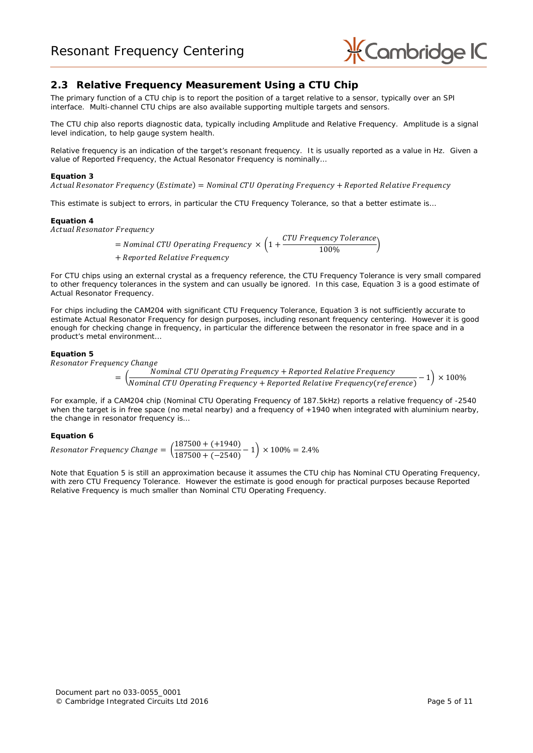

### **2.3 Relative Frequency Measurement Using a CTU Chip**

The primary function of a CTU chip is to report the position of a target relative to a sensor, typically over an SPI interface. Multi-channel CTU chips are also available supporting multiple targets and sensors.

The CTU chip also reports diagnostic data, typically including Amplitude and Relative Frequency. Amplitude is a signal level indication, to help gauge system health.

Relative frequency is an indication of the target's resonant frequency. It is usually reported as a value in Hz. Given a value of Reported Frequency, the Actual Resonator Frequency is nominally…

#### <span id="page-4-0"></span>**Equation 3**

 $Actual$  Resonator Frequency (Estimate) =  $Nominal$  CTU Operating Frequency + Reported Relative Frequency

This estimate is subject to errors, in particular the CTU Frequency Tolerance, so that a better estimate is…

#### **Equation 4**

Actual Resonator Frequency

= Nominal CTU Operating Frequency  $\times$   $\left(1+\frac{CTU$  Frequency Tolerance)<br> $\left(1+\frac{CTU}{100\%}\right)^{1/2}$ + Reported Relative Frequency

For CTU chips using an external crystal as a frequency reference, the CTU Frequency Tolerance is very small compared to other frequency tolerances in the system and can usually be ignored. In this case, [Equation 3](#page-4-0) is a good estimate of Actual Resonator Frequency.

For chips including the CAM204 with significant CTU Frequency Tolerance, [Equation 3](#page-4-0) is not sufficiently accurate to estimate Actual Resonator Frequency for design purposes, including resonant frequency centering. However it is good enough for checking change in frequency, in particular the difference between the resonator in free space and in a product's metal environment…

### <span id="page-4-1"></span>**Equation 5**

Resonator Frequency Change

$$
= \left(\frac{\text{Nominal CTU Operating Frequency} + \text{Reported Relative Frequency}}{\text{Nominal CTU Operating Frequency} + \text{Reported Relative Frequency}(reference)} - 1\right) \times 100\%
$$

For example, if a CAM204 chip (Nominal CTU Operating Frequency of 187.5kHz) reports a relative frequency of -2540 when the target is in free space (no metal nearby) and a frequency of +1940 when integrated with aluminium nearby, the change in resonator frequency is…

### **Equation 6**

*Resonator Frequency Change* =  $\left(\frac{187500 + (+1940)}{187500 + (-2540)}\right)$  $\frac{187500 + (-2540)}{187500 + (-2540)} - 1$  × 100% = 2.4%

Note that [Equation 5](#page-4-1) is still an approximation because it assumes the CTU chip has Nominal CTU Operating Frequency, with zero CTU Frequency Tolerance. However the estimate is good enough for practical purposes because Reported Relative Frequency is much smaller than Nominal CTU Operating Frequency.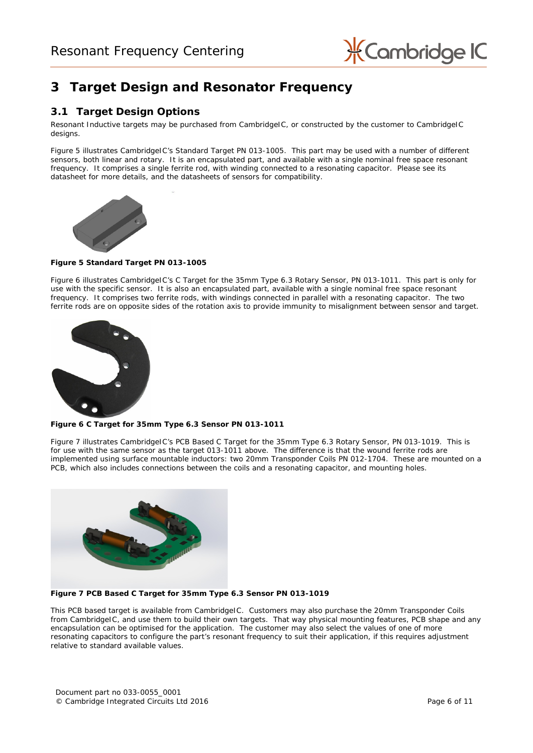

## **3 Target Design and Resonator Frequency**

### **3.1 Target Design Options**

Resonant Inductive targets may be purchased from CambridgeIC, or constructed by the customer to CambridgeIC designs.

[Figure 5](#page-5-0) illustrates CambridgeIC's Standard Target PN 013-1005. This part may be used with a number of different sensors, both linear and rotary. It is an encapsulated part, and available with a single nominal free space resonant frequency. It comprises a single ferrite rod, with winding connected to a resonating capacitor. Please see its datasheet for more details, and the datasheets of sensors for compatibility.



### <span id="page-5-0"></span>**Figure 5 Standard Target PN 013-1005**

[Figure 6](#page-5-1) illustrates CambridgeIC's C Target for the 35mm Type 6.3 Rotary Sensor, PN 013-1011. This part is only for use with the specific sensor. It is also an encapsulated part, available with a single nominal free space resonant frequency. It comprises two ferrite rods, with windings connected in parallel with a resonating capacitor. The two ferrite rods are on opposite sides of the rotation axis to provide immunity to misalignment between sensor and target.



**Figure 6 C Target for 35mm Type 6.3 Sensor PN 013-1011**

<span id="page-5-1"></span>[Figure 7](#page-5-2) illustrates CambridgeIC's PCB Based C Target for the 35mm Type 6.3 Rotary Sensor, PN 013-1019. This is for use with the same sensor as the target 013-1011 above. The difference is that the wound ferrite rods are implemented using surface mountable inductors: two 20mm Transponder Coils PN 012-1704. These are mounted on a PCB, which also includes connections between the coils and a resonating capacitor, and mounting holes.



### <span id="page-5-2"></span>**Figure 7 PCB Based C Target for 35mm Type 6.3 Sensor PN 013-1019**

This PCB based target is available from CambridgeIC. Customers may also purchase the 20mm Transponder Coils from CambridgeIC, and use them to build their own targets. That way physical mounting features, PCB shape and any encapsulation can be optimised for the application. The customer may also select the values of one of more resonating capacitors to configure the part's resonant frequency to suit their application, if this requires adjustment relative to standard available values.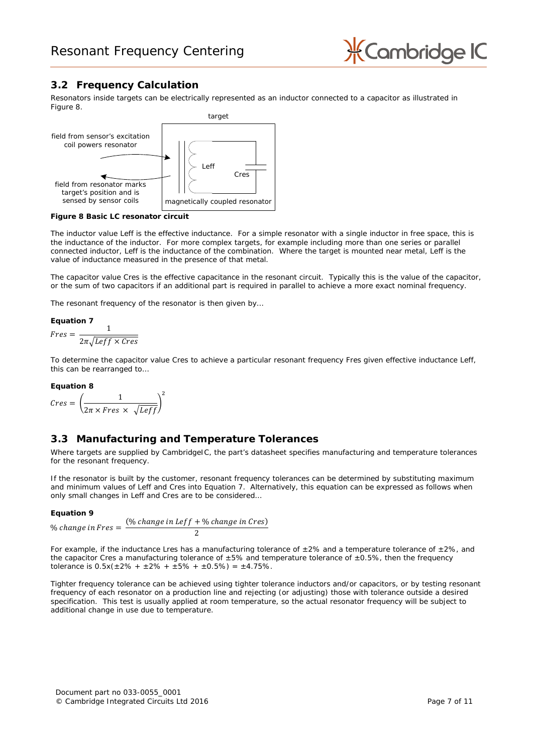

## <span id="page-6-3"></span>**3.2 Frequency Calculation**

Resonators inside targets can be electrically represented as an inductor connected to a capacitor as illustrated in [Figure 8.](#page-6-0)



<span id="page-6-0"></span>**Figure 8 Basic LC resonator circuit**

The inductor value Leff is the effective inductance. For a simple resonator with a single inductor in free space, this is the inductance of the inductor. For more complex targets, for example including more than one series or parallel connected inductor, Leff is the inductance of the combination. Where the target is mounted near metal, Leff is the value of inductance measured in the presence of that metal.

The capacitor value Cres is the effective capacitance in the resonant circuit. Typically this is the value of the capacitor, or the sum of two capacitors if an additional part is required in parallel to achieve a more exact nominal frequency.

The resonant frequency of the resonator is then given by…

### <span id="page-6-1"></span>**Equation 7**

$$
Fres = \frac{1}{2\pi\sqrt{Leff \times Cres}}
$$

To determine the capacitor value Cres to achieve a particular resonant frequency Fres given effective inductance Leff, this can be rearranged to…

### **Equation 8**

$$
Cres = \left(\frac{1}{2\pi \times Fres \times \sqrt{Leff}}\right)^2
$$

### <span id="page-6-2"></span>**3.3 Manufacturing and Temperature Tolerances**

Where targets are supplied by CambridgeIC, the part's datasheet specifies manufacturing and temperature tolerances for the resonant frequency.

If the resonator is built by the customer, resonant frequency tolerances can be determined by substituting maximum and minimum values of Leff and Cres into [Equation 7.](#page-6-1) Alternatively, this equation can be expressed as follows when only small changes in Leff and Cres are to be considered…

### **Equation 9**

$$
\% change in Fres = \frac{(% change in Left + % change in Cres)}{2}
$$

For example, if the inductance Lres has a manufacturing tolerance of  $\pm 2\%$  and a temperature tolerance of  $\pm 2\%$ , and the capacitor Cres a manufacturing tolerance of  $\pm 5\%$  and temperature tolerance of  $\pm 0.5\%$ , then the frequency tolerance is  $0.5x(\pm 2\% + \pm 2\% + \pm 5\% + \pm 0.5\%) = \pm 4.75\%$ .

Tighter frequency tolerance can be achieved using tighter tolerance inductors and/or capacitors, or by testing resonant frequency of each resonator on a production line and rejecting (or adjusting) those with tolerance outside a desired specification. This test is usually applied at room temperature, so the actual resonator frequency will be subject to additional change in use due to temperature.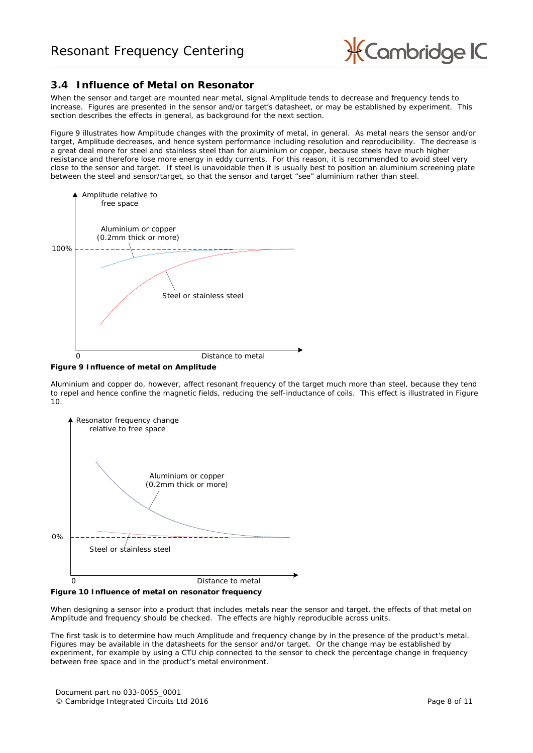

### <span id="page-7-2"></span>**3.4 Influence of Metal on Resonator**

When the sensor and target are mounted near metal, signal Amplitude tends to decrease and frequency tends to increase. Figures are presented in the sensor and/or target's datasheet, or may be established by experiment. This section describes the effects in general, as background for the next section.

[Figure 9](#page-7-0) illustrates how Amplitude changes with the proximity of metal, in general. As metal nears the sensor and/or target, Amplitude decreases, and hence system performance including resolution and reproducibility. The decrease is a great deal more for steel and stainless steel than for aluminium or copper, because steels have much higher resistance and therefore lose more energy in eddy currents. For this reason, it is recommended to avoid steel very close to the sensor and target. If steel is unavoidable then it is usually best to position an aluminium screening plate between the steel and sensor/target, so that the sensor and target "see" aluminium rather than steel.



<span id="page-7-0"></span>

Aluminium and copper do, however, affect resonant frequency of the target much more than steel, because they tend to repel and hence confine the magnetic fields, reducing the self-inductance of coils. This effect is illustrated in [Figure](#page-7-1)  [10.](#page-7-1)



<span id="page-7-1"></span>

When designing a sensor into a product that includes metals near the sensor and target, the effects of that metal on Amplitude and frequency should be checked. The effects are highly reproducible across units.

The first task is to determine how much Amplitude and frequency change by in the presence of the product's metal. Figures may be available in the datasheets for the sensor and/or target. Or the change may be established by experiment, for example by using a CTU chip connected to the sensor to check the percentage change in frequency between free space and in the product's metal environment.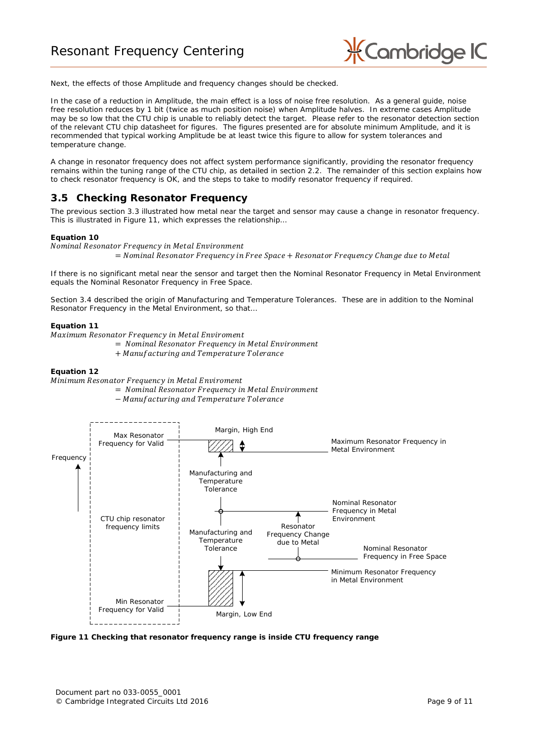

Next, the effects of those Amplitude and frequency changes should be checked.

In the case of a reduction in Amplitude, the main effect is a loss of noise free resolution. As a general guide, noise free resolution reduces by 1 bit (twice as much position noise) when Amplitude halves. In extreme cases Amplitude may be so low that the CTU chip is unable to reliably detect the target. Please refer to the resonator detection section of the relevant CTU chip datasheet for figures. The figures presented are for absolute minimum Amplitude, and it is recommended that typical working Amplitude be at least twice this figure to allow for system tolerances and temperature change.

A change in resonator frequency does not affect system performance significantly, providing the resonator frequency remains within the tuning range of the CTU chip, as detailed in section [2.2.](#page-3-3) The remainder of this section explains how to check resonator frequency is OK, and the steps to take to modify resonator frequency if required.

### **3.5 Checking Resonator Frequency**

The previous section [3.3](#page-6-2) illustrated how metal near the target and sensor may cause a change in resonator frequency. This is illustrated in [Figure 11,](#page-8-0) which expresses the relationship…

#### **Equation 10**

Nominal Resonator Frequency in Metal Environment

 $=$  Nominal Resonator Frequency in Free Space  $+$  Resonator Frequency Change due to Metal

If there is no significant metal near the sensor and target then the Nominal Resonator Frequency in Metal Environment equals the Nominal Resonator Frequency in Free Space.

Section [3.4](#page-7-2) described the origin of Manufacturing and Temperature Tolerances. These are in addition to the Nominal Resonator Frequency in the Metal Environment, so that…

#### **Equation 11**

Maximum Resonator Frequency in Metal Enviroment

- = Nominal Resonator Frequency in Metal Environment
- + Manufacturing and Temperature Tolerance

#### **Equation 12**

Minimum Resonator Frequency in Metal Enviroment

 $=$  Nominal Resonator Frequency in Metal Environment

− Manufacturing and Temperature Tolerance



<span id="page-8-0"></span>**Figure 11 Checking that resonator frequency range is inside CTU frequency range**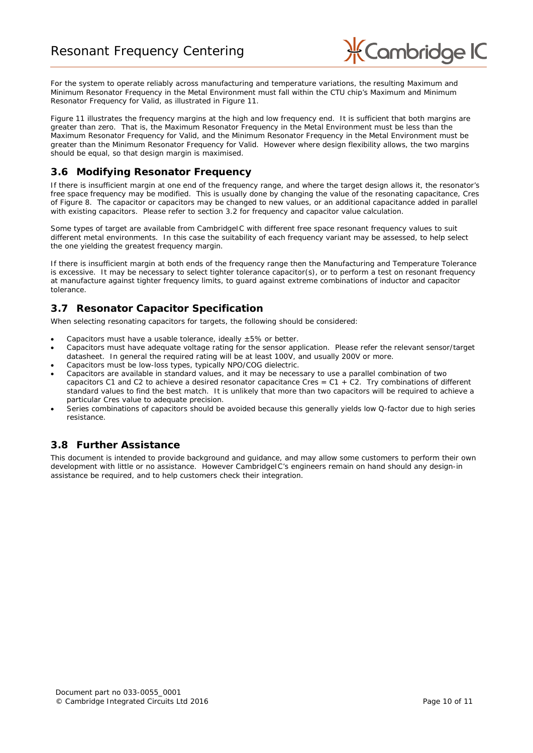

For the system to operate reliably across manufacturing and temperature variations, the resulting Maximum and Minimum Resonator Frequency in the Metal Environment must fall within the CTU chip's Maximum and Minimum Resonator Frequency for Valid, as illustrated in [Figure 11.](#page-8-0)

[Figure 11](#page-8-0) illustrates the frequency margins at the high and low frequency end. It is sufficient that both margins are greater than zero. That is, the Maximum Resonator Frequency in the Metal Environment must be less than the Maximum Resonator Frequency for Valid, and the Minimum Resonator Frequency in the Metal Environment must be greater than the Minimum Resonator Frequency for Valid. However where design flexibility allows, the two margins should be equal, so that design margin is maximised.

### **3.6 Modifying Resonator Frequency**

If there is insufficient margin at one end of the frequency range, and where the target design allows it, the resonator's free space frequency may be modified. This is usually done by changing the value of the resonating capacitance, Cres of [Figure 8.](#page-6-0) The capacitor or capacitors may be changed to new values, or an additional capacitance added in parallel with existing capacitors. Please refer to section [3.2](#page-6-3) for frequency and capacitor value calculation.

Some types of target are available from CambridgeIC with different free space resonant frequency values to suit different metal environments. In this case the suitability of each frequency variant may be assessed, to help select the one yielding the greatest frequency margin.

If there is insufficient margin at both ends of the frequency range then the Manufacturing and Temperature Tolerance is excessive. It may be necessary to select tighter tolerance capacitor(s), or to perform a test on resonant frequency at manufacture against tighter frequency limits, to guard against extreme combinations of inductor and capacitor tolerance.

## **3.7 Resonator Capacitor Specification**

When selecting resonating capacitors for targets, the following should be considered:

- Capacitors must have a usable tolerance, ideally  $\pm 5\%$  or better.
- Capacitors must have adequate voltage rating for the sensor application. Please refer the relevant sensor/target datasheet. In general the required rating will be at least 100V, and usually 200V or more.
- Capacitors must be low-loss types, typically NPO/COG dielectric.
- Capacitors are available in standard values, and it may be necessary to use a parallel combination of two capacitors C1 and C2 to achieve a desired resonator capacitance Cres = C1 + C2. Try combinations of different standard values to find the best match. It is unlikely that more than two capacitors will be required to achieve a particular Cres value to adequate precision.
- Series combinations of capacitors should be avoided because this generally yields low Q-factor due to high series resistance.

### **3.8 Further Assistance**

This document is intended to provide background and guidance, and may allow some customers to perform their own development with little or no assistance. However CambridgeIC's engineers remain on hand should any design-in assistance be required, and to help customers check their integration.